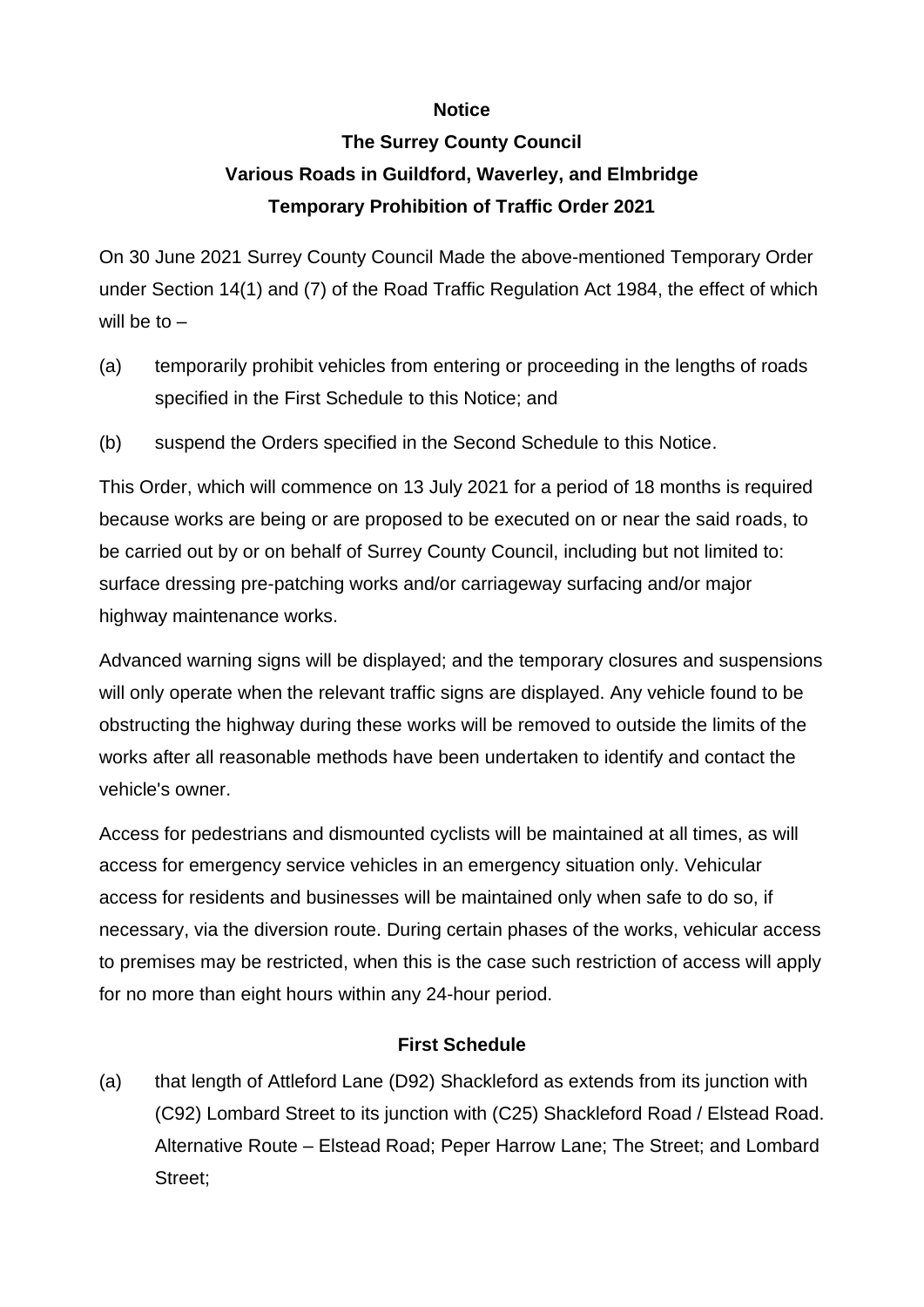## **Notice**

## **The Surrey County Council Various Roads in Guildford, Waverley, and Elmbridge Temporary Prohibition of Traffic Order 2021**

On 30 June 2021 Surrey County Council Made the above-mentioned Temporary Order under Section 14(1) and (7) of the Road Traffic Regulation Act 1984, the effect of which will be to  $-$ 

- (a) temporarily prohibit vehicles from entering or proceeding in the lengths of roads specified in the First Schedule to this Notice; and
- (b) suspend the Orders specified in the Second Schedule to this Notice.

This Order, which will commence on 13 July 2021 for a period of 18 months is required because works are being or are proposed to be executed on or near the said roads, to be carried out by or on behalf of Surrey County Council, including but not limited to: surface dressing pre-patching works and/or carriageway surfacing and/or major highway maintenance works.

Advanced warning signs will be displayed; and the temporary closures and suspensions will only operate when the relevant traffic signs are displayed. Any vehicle found to be obstructing the highway during these works will be removed to outside the limits of the works after all reasonable methods have been undertaken to identify and contact the vehicle's owner.

Access for pedestrians and dismounted cyclists will be maintained at all times, as will access for emergency service vehicles in an emergency situation only. Vehicular access for residents and businesses will be maintained only when safe to do so, if necessary, via the diversion route. During certain phases of the works, vehicular access to premises may be restricted, when this is the case such restriction of access will apply for no more than eight hours within any 24-hour period.

## **First Schedule**

(a) that length of Attleford Lane (D92) Shackleford as extends from its junction with (C92) Lombard Street to its junction with (C25) Shackleford Road / Elstead Road. Alternative Route – Elstead Road; Peper Harrow Lane; The Street; and Lombard Street;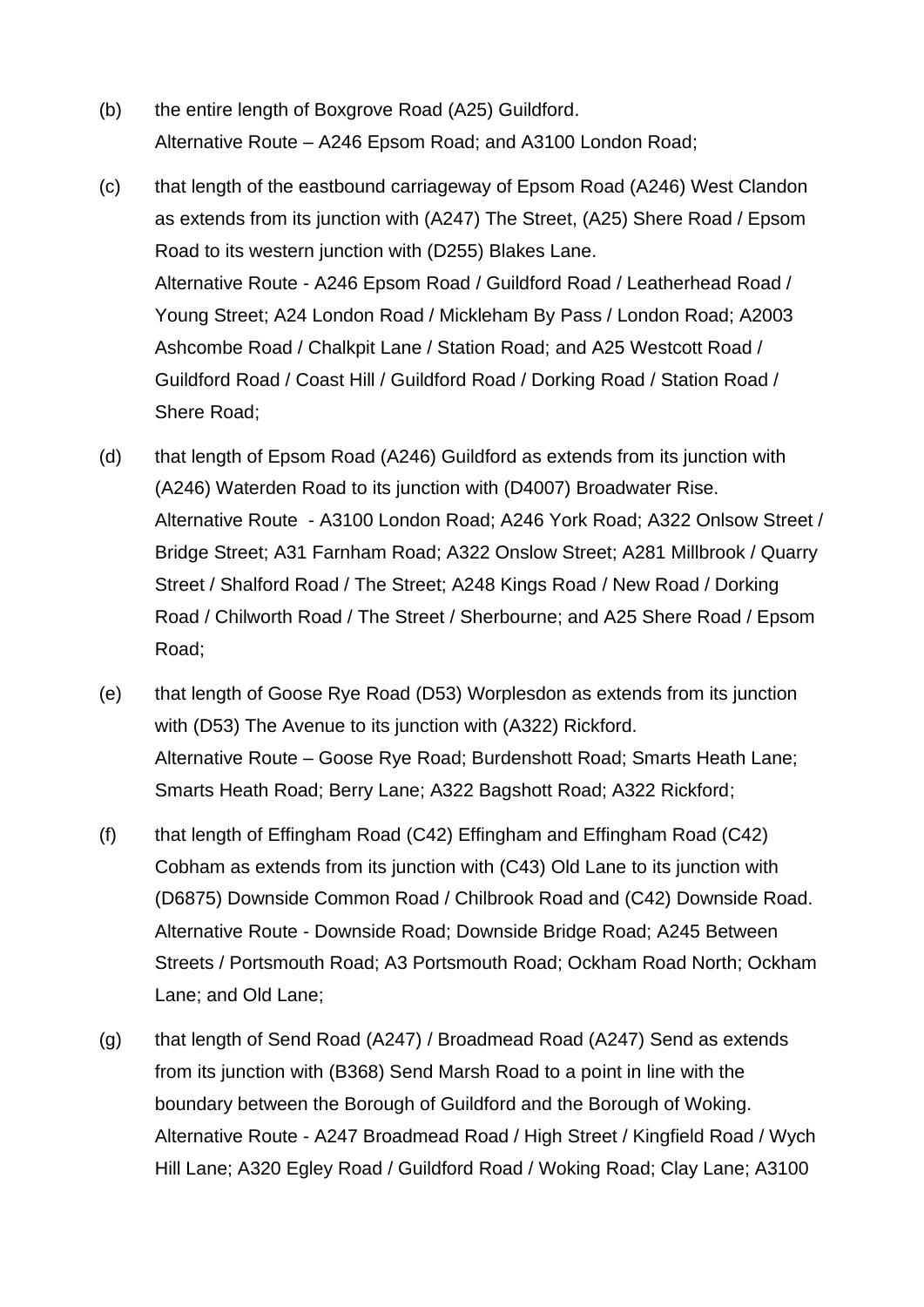- (b) the entire length of Boxgrove Road (A25) Guildford. Alternative Route – A246 Epsom Road; and A3100 London Road;
- (c) that length of the eastbound carriageway of Epsom Road (A246) West Clandon as extends from its junction with (A247) The Street, (A25) Shere Road / Epsom Road to its western junction with (D255) Blakes Lane. Alternative Route - A246 Epsom Road / Guildford Road / Leatherhead Road / Young Street; A24 London Road / Mickleham By Pass / London Road; A2003 Ashcombe Road / Chalkpit Lane / Station Road; and A25 Westcott Road / Guildford Road / Coast Hill / Guildford Road / Dorking Road / Station Road / Shere Road;
- (d) that length of Epsom Road (A246) Guildford as extends from its junction with (A246) Waterden Road to its junction with (D4007) Broadwater Rise. Alternative Route - A3100 London Road; A246 York Road; A322 Onlsow Street / Bridge Street; A31 Farnham Road; A322 Onslow Street; A281 Millbrook / Quarry Street / Shalford Road / The Street; A248 Kings Road / New Road / Dorking Road / Chilworth Road / The Street / Sherbourne; and A25 Shere Road / Epsom Road;
- (e) that length of Goose Rye Road (D53) Worplesdon as extends from its junction with (D53) The Avenue to its junction with (A322) Rickford. Alternative Route – Goose Rye Road; Burdenshott Road; Smarts Heath Lane; Smarts Heath Road; Berry Lane; A322 Bagshott Road; A322 Rickford;
- (f) that length of Effingham Road (C42) Effingham and Effingham Road (C42) Cobham as extends from its junction with (C43) Old Lane to its junction with (D6875) Downside Common Road / Chilbrook Road and (C42) Downside Road. Alternative Route - Downside Road; Downside Bridge Road; A245 Between Streets / Portsmouth Road; A3 Portsmouth Road; Ockham Road North; Ockham Lane; and Old Lane;
- (g) that length of Send Road (A247) / Broadmead Road (A247) Send as extends from its junction with (B368) Send Marsh Road to a point in line with the boundary between the Borough of Guildford and the Borough of Woking. Alternative Route - A247 Broadmead Road / High Street / Kingfield Road / Wych Hill Lane; A320 Egley Road / Guildford Road / Woking Road; Clay Lane; A3100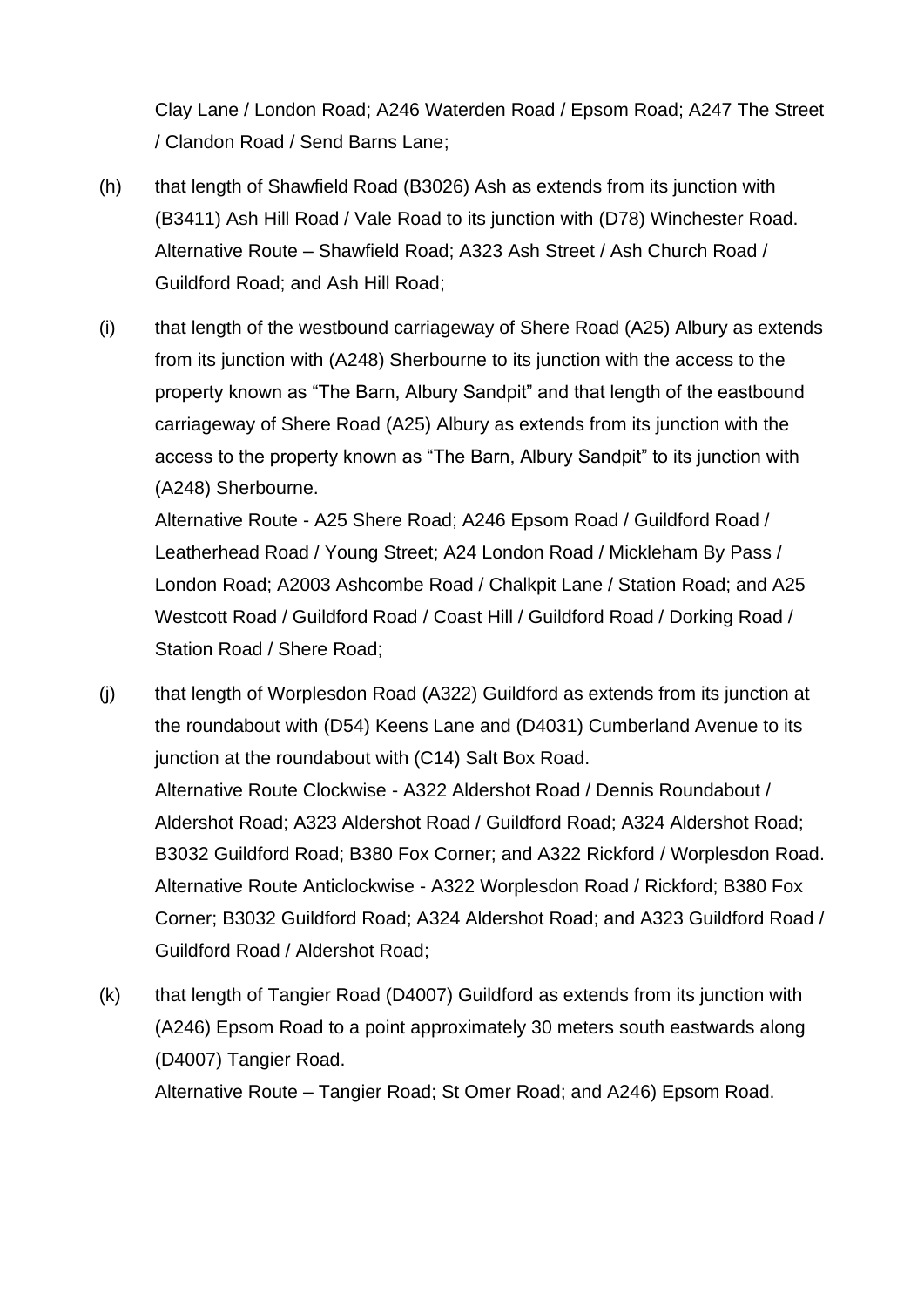Clay Lane / London Road; A246 Waterden Road / Epsom Road; A247 The Street / Clandon Road / Send Barns Lane;

- (h) that length of Shawfield Road (B3026) Ash as extends from its junction with (B3411) Ash Hill Road / Vale Road to its junction with (D78) Winchester Road. Alternative Route – Shawfield Road; A323 Ash Street / Ash Church Road / Guildford Road; and Ash Hill Road;
- (i) that length of the westbound carriageway of Shere Road (A25) Albury as extends from its junction with (A248) Sherbourne to its junction with the access to the property known as "The Barn, Albury Sandpit" and that length of the eastbound carriageway of Shere Road (A25) Albury as extends from its junction with the access to the property known as "The Barn, Albury Sandpit" to its junction with (A248) Sherbourne.

Alternative Route - A25 Shere Road; A246 Epsom Road / Guildford Road / Leatherhead Road / Young Street; A24 London Road / Mickleham By Pass / London Road; A2003 Ashcombe Road / Chalkpit Lane / Station Road; and A25 Westcott Road / Guildford Road / Coast Hill / Guildford Road / Dorking Road / Station Road / Shere Road;

- (j) that length of Worplesdon Road (A322) Guildford as extends from its junction at the roundabout with (D54) Keens Lane and (D4031) Cumberland Avenue to its junction at the roundabout with (C14) Salt Box Road. Alternative Route Clockwise - A322 Aldershot Road / Dennis Roundabout / Aldershot Road; A323 Aldershot Road / Guildford Road; A324 Aldershot Road; B3032 Guildford Road; B380 Fox Corner; and A322 Rickford / Worplesdon Road. Alternative Route Anticlockwise - A322 Worplesdon Road / Rickford; B380 Fox Corner; B3032 Guildford Road; A324 Aldershot Road; and A323 Guildford Road / Guildford Road / Aldershot Road;
- (k) that length of Tangier Road (D4007) Guildford as extends from its junction with (A246) Epsom Road to a point approximately 30 meters south eastwards along (D4007) Tangier Road. Alternative Route – Tangier Road; St Omer Road; and A246) Epsom Road.